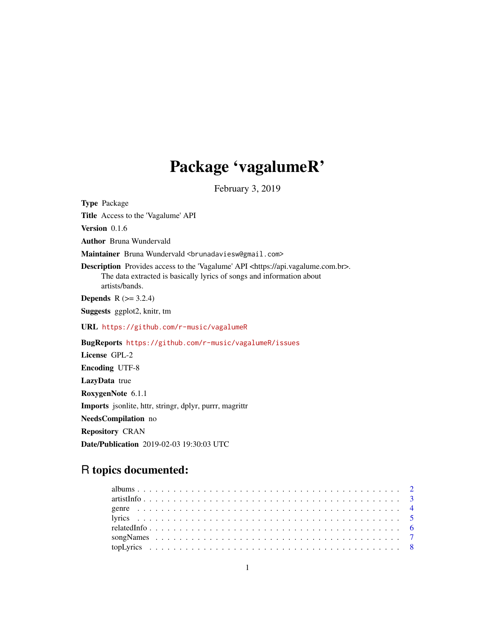## Package 'vagalumeR'

February 3, 2019

Type Package

Title Access to the 'Vagalume' API

Version 0.1.6

Author Bruna Wundervald

Maintainer Bruna Wundervald <br/>brunadaviesw@gmail.com>

Description Provides access to the 'Vagalume' API <https://api.vagalume.com.br>. The data extracted is basically lyrics of songs and information about artists/bands.

**Depends**  $R$  ( $>= 3.2.4$ )

Suggests ggplot2, knitr, tm

URL <https://github.com/r-music/vagalumeR>

BugReports <https://github.com/r-music/vagalumeR/issues>

License GPL-2

Encoding UTF-8

LazyData true

RoxygenNote 6.1.1

Imports jsonlite, httr, stringr, dplyr, purrr, magrittr

NeedsCompilation no

Repository CRAN

Date/Publication 2019-02-03 19:30:03 UTC

### R topics documented: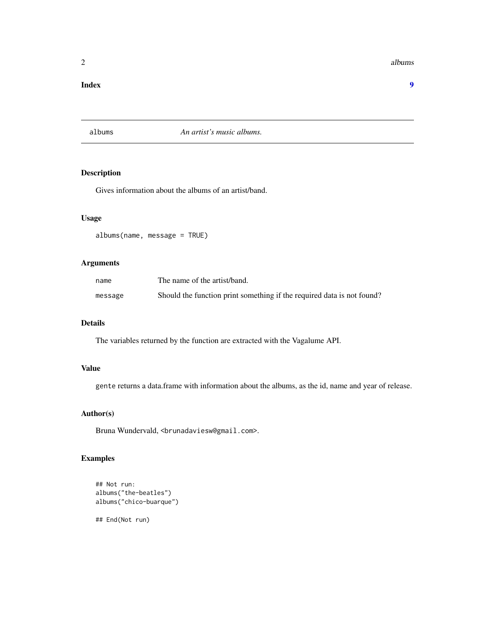<span id="page-1-0"></span>2 albums and the contract of the contract of the contract of the contract of the contract of the contract of the contract of the contract of the contract of the contract of the contract of the contract of the contract of t

#### **Index** [9](#page-8-0)

#### albums *An artist's music albums.*

#### Description

Gives information about the albums of an artist/band.

#### Usage

albums(name, message = TRUE)

#### Arguments

| name    | The name of the artist/band.                                           |
|---------|------------------------------------------------------------------------|
| message | Should the function print something if the required data is not found? |

#### Details

The variables returned by the function are extracted with the Vagalume API.

#### Value

gente returns a data.frame with information about the albums, as the id, name and year of release.

#### Author(s)

Bruna Wundervald, <brunadaviesw@gmail.com>.

#### Examples

```
## Not run:
albums("the-beatles")
albums("chico-buarque")
## End(Not run)
```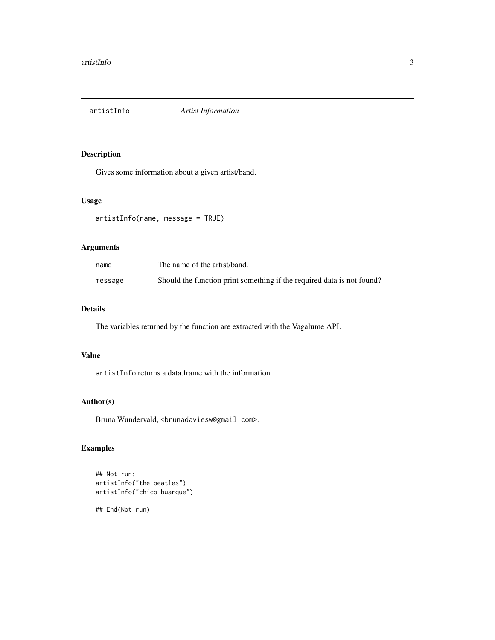<span id="page-2-0"></span>artistInfo *Artist Information*

#### Description

Gives some information about a given artist/band.

#### Usage

```
artistInfo(name, message = TRUE)
```
#### Arguments

| name    | The name of the artist/band.                                           |
|---------|------------------------------------------------------------------------|
| message | Should the function print something if the required data is not found? |

#### Details

The variables returned by the function are extracted with the Vagalume API.

#### Value

artistInfo returns a data.frame with the information.

#### Author(s)

Bruna Wundervald, <br/>brunadaviesw@gmail.com>.

#### Examples

```
## Not run:
artistInfo("the-beatles")
artistInfo("chico-buarque")
```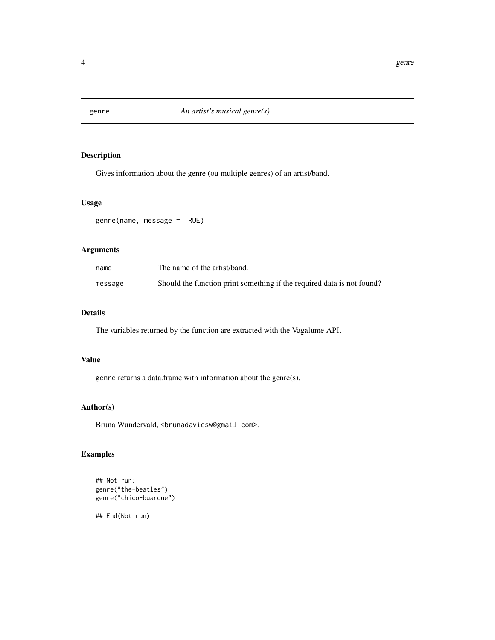<span id="page-3-0"></span>

Gives information about the genre (ou multiple genres) of an artist/band.

#### Usage

```
genre(name, message = TRUE)
```
#### Arguments

| name    | The name of the artist/band.                                           |
|---------|------------------------------------------------------------------------|
| message | Should the function print something if the required data is not found? |

#### Details

The variables returned by the function are extracted with the Vagalume API.

#### Value

genre returns a data.frame with information about the genre(s).

#### Author(s)

Bruna Wundervald, <br/>brunadaviesw@gmail.com>.

#### Examples

```
## Not run:
genre("the-beatles")
genre("chico-buarque")
```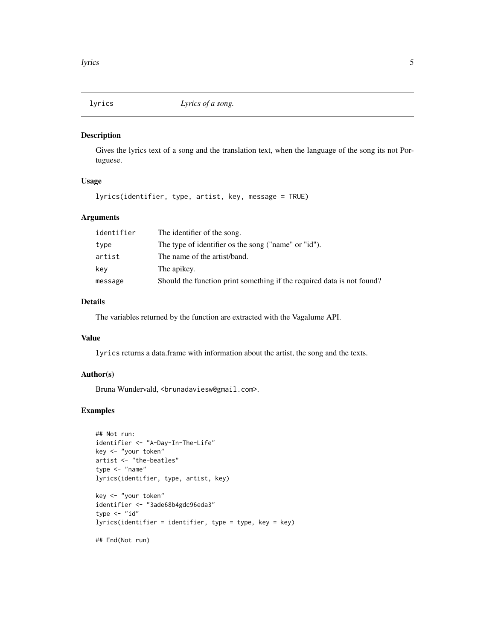<span id="page-4-0"></span>

Gives the lyrics text of a song and the translation text, when the language of the song its not Portuguese.

#### Usage

lyrics(identifier, type, artist, key, message = TRUE)

#### Arguments

| identifier | The identifier of the song.                                            |
|------------|------------------------------------------------------------------------|
| type       | The type of identifier os the song ("name" or "id").                   |
| artist     | The name of the artist/band.                                           |
| key        | The apikey.                                                            |
| message    | Should the function print something if the required data is not found? |

#### Details

The variables returned by the function are extracted with the Vagalume API.

#### Value

lyrics returns a data.frame with information about the artist, the song and the texts.

#### Author(s)

Bruna Wundervald, <br/>brunadaviesw@gmail.com>.

#### Examples

```
## Not run:
identifier <- "A-Day-In-The-Life"
key <- "your token"
artist <- "the-beatles"
type <- "name"
lyrics(identifier, type, artist, key)
key <- "your token"
identifier <- "3ade68b4gdc96eda3"
type <- "id"
lyrics(identifier = identifier, type = type, key = key)
## End(Not run)
```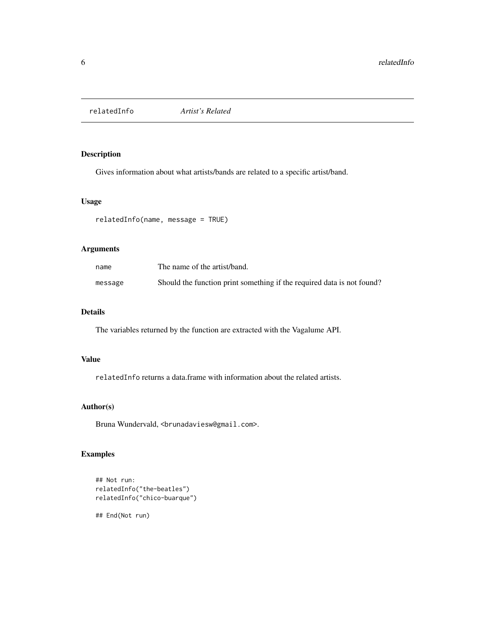<span id="page-5-0"></span>

Gives information about what artists/bands are related to a specific artist/band.

#### Usage

```
relatedInfo(name, message = TRUE)
```
#### Arguments

| name    | The name of the artist/band.                                           |
|---------|------------------------------------------------------------------------|
| message | Should the function print something if the required data is not found? |

#### Details

The variables returned by the function are extracted with the Vagalume API.

#### Value

relatedInfo returns a data.frame with information about the related artists.

#### Author(s)

Bruna Wundervald, <br/>brunadaviesw@gmail.com>.

#### Examples

```
## Not run:
relatedInfo("the-beatles")
relatedInfo("chico-buarque")
```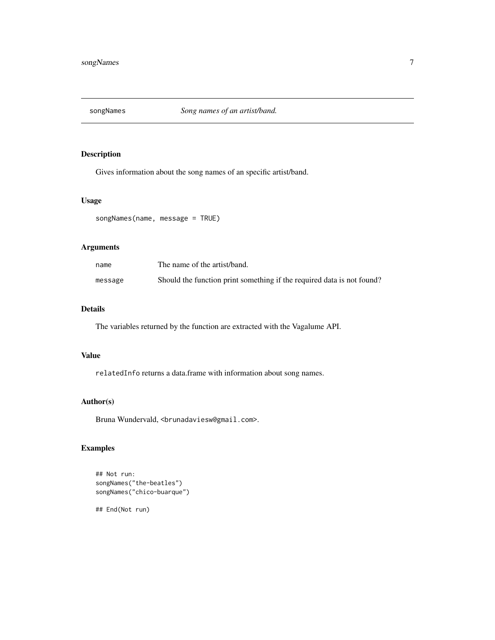<span id="page-6-0"></span>

Gives information about the song names of an specific artist/band.

#### Usage

```
songNames(name, message = TRUE)
```
#### Arguments

| name    | The name of the artist/band.                                           |
|---------|------------------------------------------------------------------------|
| message | Should the function print something if the required data is not found? |

#### Details

The variables returned by the function are extracted with the Vagalume API.

#### Value

relatedInfo returns a data.frame with information about song names.

#### Author(s)

Bruna Wundervald, <br/>brunadaviesw@gmail.com>.

#### Examples

```
## Not run:
songNames("the-beatles")
songNames("chico-buarque")
```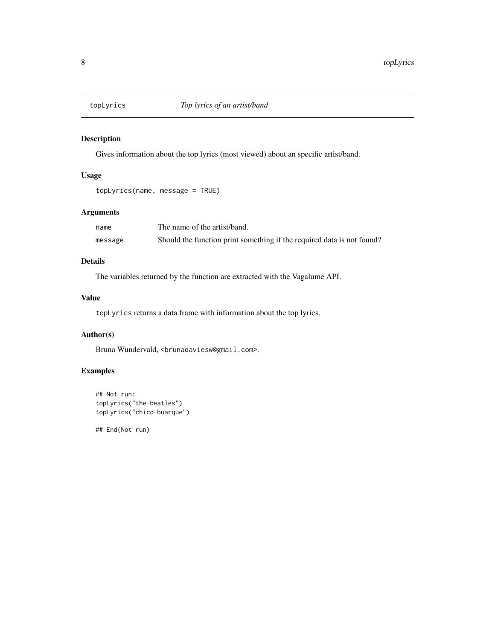<span id="page-7-0"></span>

Gives information about the top lyrics (most viewed) about an specific artist/band.

#### Usage

topLyrics(name, message = TRUE)

#### Arguments

| name    | The name of the artist/band.                                           |
|---------|------------------------------------------------------------------------|
| message | Should the function print something if the required data is not found? |

#### Details

The variables returned by the function are extracted with the Vagalume API.

#### Value

topLyrics returns a data.frame with information about the top lyrics.

#### Author(s)

Bruna Wundervald, <br/>brunadaviesw@gmail.com>.

#### Examples

```
## Not run:
topLyrics("the-beatles")
topLyrics("chico-buarque")
```